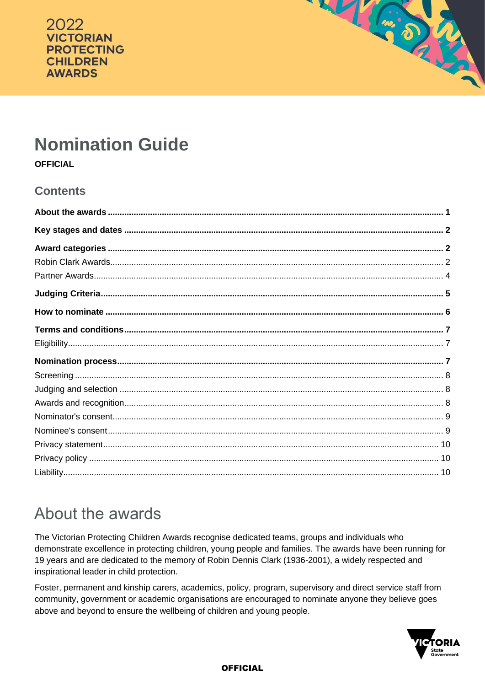



# **Nomination Guide**

**OFFICIAL** 

## **Contents**

# <span id="page-0-0"></span>About the awards

The Victorian Protecting Children Awards recognise dedicated teams, groups and individuals who demonstrate excellence in protecting children, young people and families. The awards have been running for 19 years and are dedicated to the memory of Robin Dennis Clark (1936-2001), a widely respected and inspirational leader in child protection.

Foster, permanent and kinship carers, academics, policy, program, supervisory and direct service staff from community, government or academic organisations are encouraged to nominate anyone they believe goes above and beyond to ensure the wellbeing of children and young people.

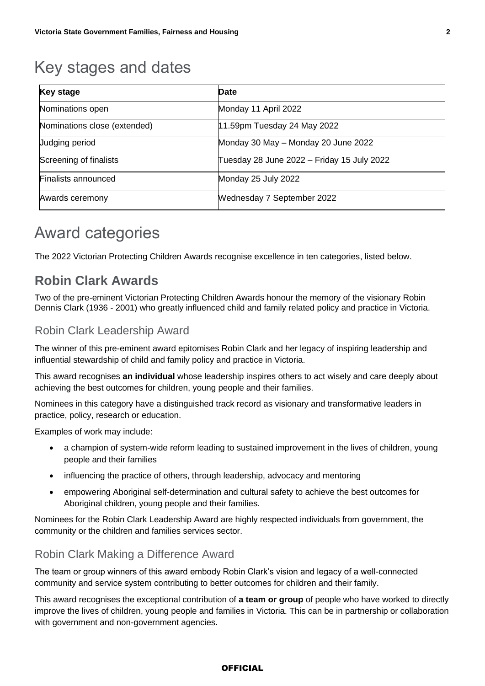# <span id="page-1-0"></span>Key stages and dates

| <b>Key stage</b>             | Date                                       |
|------------------------------|--------------------------------------------|
| Nominations open             | Monday 11 April 2022                       |
| Nominations close (extended) | 11.59pm Tuesday 24 May 2022                |
| <b>Judging period</b>        | Monday 30 May - Monday 20 June 2022        |
| Screening of finalists       | Tuesday 28 June 2022 – Friday 15 July 2022 |
| Finalists announced          | Monday 25 July 2022                        |
| Awards ceremony              | <b>Wednesday 7 September 2022</b>          |

# <span id="page-1-1"></span>Award categories

The 2022 Victorian Protecting Children Awards recognise excellence in ten categories, listed below.

## <span id="page-1-2"></span>**Robin Clark Awards**

Two of the pre-eminent Victorian Protecting Children Awards honour the memory of the visionary Robin Dennis Clark (1936 - 2001) who greatly influenced child and family related policy and practice in Victoria.

### Robin Clark Leadership Award

The winner of this pre-eminent award epitomises Robin Clark and her legacy of inspiring leadership and influential stewardship of child and family policy and practice in Victoria.

This award recognises **an individual** whose leadership inspires others to act wisely and care deeply about achieving the best outcomes for children, young people and their families.

Nominees in this category have a distinguished track record as visionary and transformative leaders in practice, policy, research or education.

Examples of work may include:

- a champion of system-wide reform leading to sustained improvement in the lives of children, young people and their families
- influencing the practice of others, through leadership, advocacy and mentoring
- empowering Aboriginal self-determination and cultural safety to achieve the best outcomes for Aboriginal children, young people and their families.

Nominees for the Robin Clark Leadership Award are highly respected individuals from government, the community or the children and families services sector.

### Robin Clark Making a Difference Award

The team or group winners of this award embody Robin Clark's vision and legacy of a well-connected community and service system contributing to better outcomes for children and their family.

This award recognises the exceptional contribution of **a team or group** of people who have worked to directly improve the lives of children, young people and families in Victoria. This can be in partnership or collaboration with government and non-government agencies.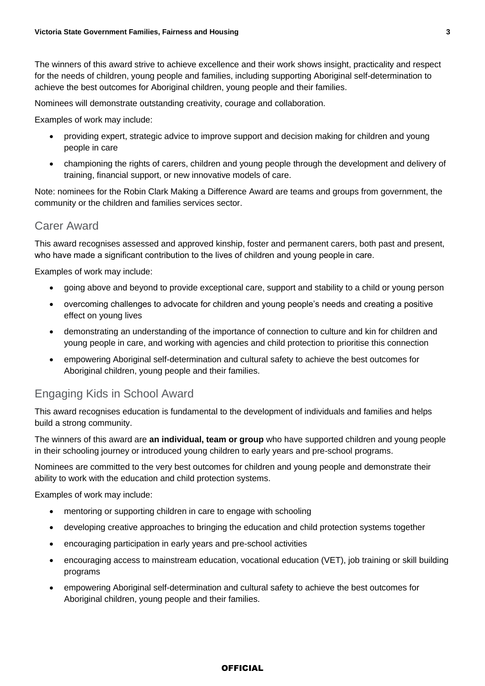The winners of this award strive to achieve excellence and their work shows insight, practicality and respect for the needs of children, young people and families, including supporting Aboriginal self-determination to achieve the best outcomes for Aboriginal children, young people and their families.

Nominees will demonstrate outstanding creativity, courage and collaboration.

Examples of work may include:

- providing expert, strategic advice to improve support and decision making for children and young people in care
- championing the rights of carers, children and young people through the development and delivery of training, financial support, or new innovative models of care.

Note: nominees for the Robin Clark Making a Difference Award are teams and groups from government, the community or the children and families services sector.

#### Carer Award

This award recognises assessed and approved kinship, foster and permanent carers, both past and present, who have made a significant contribution to the lives of children and young people in care.

Examples of work may include:

- going above and beyond to provide exceptional care, support and stability to a child or young person
- overcoming challenges to advocate for children and young people's needs and creating a positive effect on young lives
- demonstrating an understanding of the importance of connection to culture and kin for children and young people in care, and working with agencies and child protection to prioritise this connection
- empowering Aboriginal self-determination and cultural safety to achieve the best outcomes for Aboriginal children, young people and their families.

### Engaging Kids in School Award

This award recognises education is fundamental to the development of individuals and families and helps build a strong community.

The winners of this award are **an individual, team or group** who have supported children and young people in their schooling journey or introduced young children to early years and pre-school programs.

Nominees are committed to the very best outcomes for children and young people and demonstrate their ability to work with the education and child protection systems.

Examples of work may include:

- mentoring or supporting children in care to engage with schooling
- developing creative approaches to bringing the education and child protection systems together
- encouraging participation in early years and pre-school activities
- encouraging access to mainstream education, vocational education (VET), job training or skill building programs
- empowering Aboriginal self-determination and cultural safety to achieve the best outcomes for Aboriginal children, young people and their families.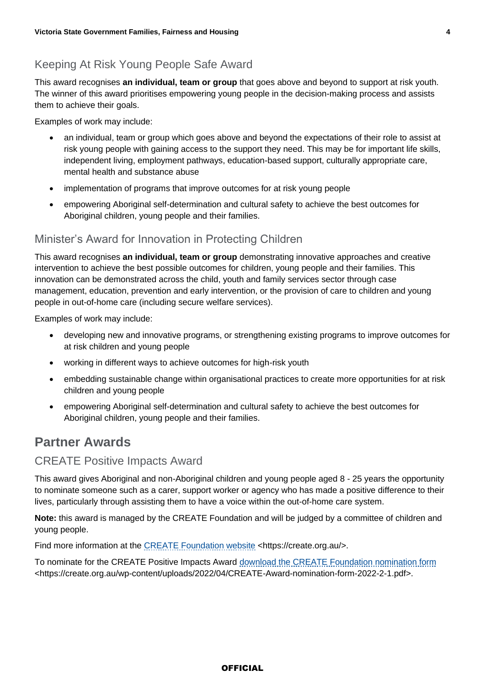## Keeping At Risk Young People Safe Award

This award recognises **an individual, team or group** that goes above and beyond to support at risk youth. The winner of this award prioritises empowering young people in the decision-making process and assists them to achieve their goals.

Examples of work may include:

- an individual, team or group which goes above and beyond the expectations of their role to assist at risk young people with gaining access to the support they need. This may be for important life skills, independent living, employment pathways, education-based support, culturally appropriate care, mental health and substance abuse
- implementation of programs that improve outcomes for at risk young people
- empowering Aboriginal self-determination and cultural safety to achieve the best outcomes for Aboriginal children, young people and their families.

### Minister's Award for Innovation in Protecting Children

This award recognises **an individual, team or group** demonstrating innovative approaches and creative intervention to achieve the best possible outcomes for children, young people and their families. This innovation can be demonstrated across the child, youth and family services sector through case management, education, prevention and early intervention, or the provision of care to children and young people in out-of-home care (including secure welfare services).

Examples of work may include:

- developing new and innovative programs, or strengthening existing programs to improve outcomes for at risk children and young people
- working in different ways to achieve outcomes for high-risk youth
- embedding sustainable change within organisational practices to create more opportunities for at risk children and young people
- empowering Aboriginal self-determination and cultural safety to achieve the best outcomes for Aboriginal children, young people and their families.

## <span id="page-3-0"></span>**Partner Awards**

### CREATE Positive Impacts Award

This award gives Aboriginal and non-Aboriginal children and young people aged 8 - 25 years the opportunity to nominate someone such as a carer, support worker or agency who has made a positive difference to their lives, particularly through assisting them to have a voice within the out-of-home care system.

**Note:** this award is managed by the CREATE Foundation and will be judged by a committee of children and young people.

Find more information at the [CREATE Foundation website](https://create.org.au/) <https://create.org.au/>.

To nominate for the CREATE Positive Impacts Award [download the CREATE Foundation nomination form](https://create.org.au/wp-content/uploads/2022/04/CREATE-Award-nomination-form-2022-2-1.pdf) <https://create.org.au/wp-content/uploads/2022/04/CREATE-Award-nomination-form-2022-2-1.pdf>.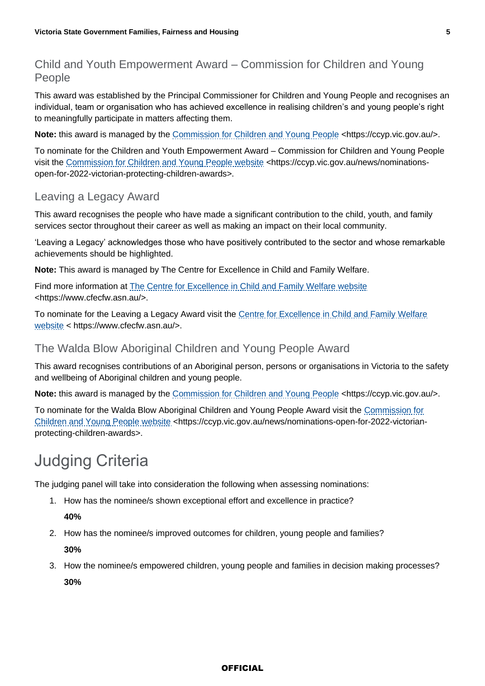## Child and Youth Empowerment Award – Commission for Children and Young People

This award was established by the Principal Commissioner for Children and Young People and recognises an individual, team or organisation who has achieved excellence in realising children's and young people's right to meaningfully participate in matters affecting them.

**Note:** this award is managed by the [Commission for Children and Young People](https://ccyp.vic.gov.au/) <https://ccyp.vic.gov.au/>.

To nominate for the Children and Youth Empowerment Award – Commission for Children and Young People visit the [Commission for Children and Young People website](https://ccyp.vic.gov.au/news/nominations-open-for-2022-victorian-protecting-children-awards) <https://ccyp.vic.gov.au/news/nominationsopen-for-2022-victorian-protecting-children-awards>.

### Leaving a Legacy Award

This award recognises the people who have made a significant contribution to the child, youth, and family services sector throughout their career as well as making an impact on their local community.

'Leaving a Legacy' acknowledges those who have positively contributed to the sector and whose remarkable achievements should be highlighted.

**Note:** This award is managed by The Centre for Excellence in Child and Family Welfare.

Find more information at **[The Centre for Excellence in Child and Family Welfare](https://www.cfecfw.asn.au/) website** <https://www.cfecfw.asn.au/>.

To nominate for the Leaving a Legacy Award visit the Centre for Excellence in Child and Family Welfare [website](https://www.cfecfw.asn.au/) < https://www.cfecfw.asn.au/>.

### The Walda Blow Aboriginal Children and Young People Award

This award recognises contributions of an Aboriginal person, persons or organisations in Victoria to the safety and wellbeing of Aboriginal children and young people.

Note: this award is managed by the [Commission for Children and Young People](https://ccyp.vic.gov.au/) <https://ccyp.vic.gov.au/>.

To nominate for the Walda Blow Aboriginal Children and Young People Award visit the [Commission for](https://ccyp.vic.gov.au/news/nominations-open-for-2022-victorian-protecting-children-awards)  [Children and Young People website](https://ccyp.vic.gov.au/news/nominations-open-for-2022-victorian-protecting-children-awards) <https://ccyp.vic.gov.au/news/nominations-open-for-2022-victorianprotecting-children-awards>.

# <span id="page-4-0"></span>Judging Criteria

The judging panel will take into consideration the following when assessing nominations:

1. How has the nominee/s shown exceptional effort and excellence in practice?

**40%**

- 2. How has the nominee/s improved outcomes for children, young people and families? **30%**
- 3. How the nominee/s empowered children, young people and families in decision making processes? **30%**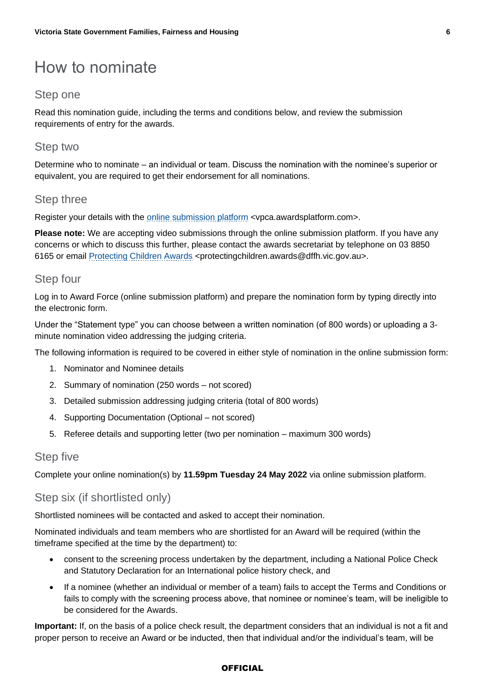# <span id="page-5-0"></span>How to nominate

#### Step one

Read this nomination guide, including the terms and conditions below, and review the submission requirements of entry for the awards.

#### Step two

Determine who to nominate – an individual or team. Discuss the nomination with the nominee's superior or equivalent, you are required to get their endorsement for all nominations.

#### Step three

Register your details with the [online submission platform](https://dhhsvicgovau.sharepoint.com/sites/DFFHCommunicationsMediabranch/Shared%20Documents/Corporate%20Communications/Events/Victorian%20Protecting%20Children%20Awards/2022%20VPCA/06%20Awards%20Documentation/Guidelines/vpca.awardsplatform.com) <vpca.awardsplatform.com>.

**Please note:** We are accepting video submissions through the online submission platform. If you have any concerns or which to discuss this further, please contact the awards secretariat by telephone on 03 8850 6165 or email [Protecting Children Awards](mailto:protectingchildren.awards@dffh.vic.gov.au?subject=VPCA%202022%20Nomination%20Enquiry) <protectingchildren.awards@dffh.vic.gov.au>.

#### Step four

Log in to Award Force (online submission platform) and prepare the nomination form by typing directly into the electronic form.

Under the "Statement type" you can choose between a written nomination (of 800 words) or uploading a 3 minute nomination video addressing the judging criteria.

The following information is required to be covered in either style of nomination in the online submission form:

- 1. Nominator and Nominee details
- 2. Summary of nomination (250 words not scored)
- 3. Detailed submission addressing judging criteria (total of 800 words)
- 4. Supporting Documentation (Optional not scored)
- 5. Referee details and supporting letter (two per nomination maximum 300 words)

#### Step five

Complete your online nomination(s) by **11.59pm Tuesday 24 May 2022** via online submission platform.

### Step six (if shortlisted only)

Shortlisted nominees will be contacted and asked to accept their nomination.

Nominated individuals and team members who are shortlisted for an Award will be required (within the timeframe specified at the time by the department) to:

- consent to the screening process undertaken by the department, including a National Police Check and Statutory Declaration for an International police history check, and
- If a nominee (whether an individual or member of a team) fails to accept the Terms and Conditions or fails to comply with the screening process above, that nominee or nominee's team, will be ineligible to be considered for the Awards.

**Important:** If, on the basis of a police check result, the department considers that an individual is not a fit and proper person to receive an Award or be inducted, then that individual and/or the individual's team, will be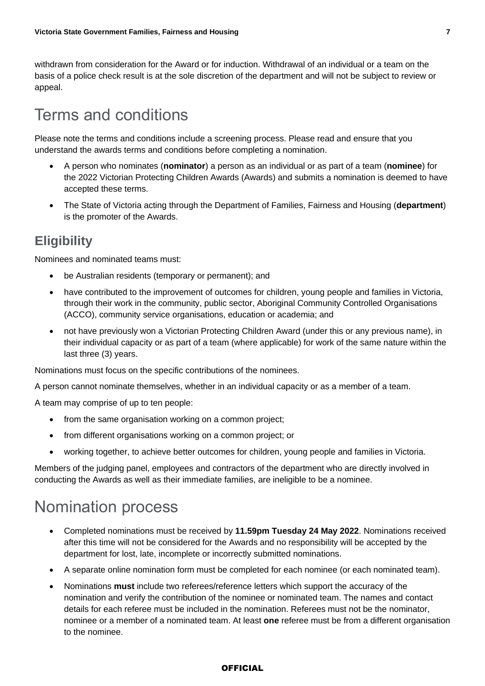withdrawn from consideration for the Award or for induction. Withdrawal of an individual or a team on the basis of a police check result is at the sole discretion of the department and will not be subject to review or appeal.

# <span id="page-6-0"></span>Terms and conditions

Please note the terms and conditions include a screening process. Please read and ensure that you understand the awards terms and conditions before completing a nomination.

- A person who nominates (**nominator**) a person as an individual or as part of a team (**nominee**) for the 2022 Victorian Protecting Children Awards (Awards) and submits a nomination is deemed to have accepted these terms.
- The State of Victoria acting through the Department of Families, Fairness and Housing (**department**) is the promoter of the Awards.

## <span id="page-6-1"></span>**Eligibility**

Nominees and nominated teams must:

- be Australian residents (temporary or permanent); and
- have contributed to the improvement of outcomes for children, young people and families in Victoria, through their work in the community, public sector, Aboriginal Community Controlled Organisations (ACCO), community service organisations, education or academia; and
- not have previously won a Victorian Protecting Children Award (under this or any previous name), in their individual capacity or as part of a team (where applicable) for work of the same nature within the last three (3) years.

Nominations must focus on the specific contributions of the nominees.

A person cannot nominate themselves, whether in an individual capacity or as a member of a team.

A team may comprise of up to ten people:

- from the same organisation working on a common project;
- from different organisations working on a common project; or
- working together, to achieve better outcomes for children, young people and families in Victoria.

Members of the judging panel, employees and contractors of the department who are directly involved in conducting the Awards as well as their immediate families, are ineligible to be a nominee.

# <span id="page-6-2"></span>Nomination process

- Completed nominations must be received by **11.59pm Tuesday 24 May 2022**. Nominations received after this time will not be considered for the Awards and no responsibility will be accepted by the department for lost, late, incomplete or incorrectly submitted nominations.
- A separate online nomination form must be completed for each nominee (or each nominated team).
- Nominations **must** include two referees/reference letters which support the accuracy of the nomination and verify the contribution of the nominee or nominated team. The names and contact details for each referee must be included in the nomination. Referees must not be the nominator, nominee or a member of a nominated team. At least **one** referee must be from a different organisation to the nominee.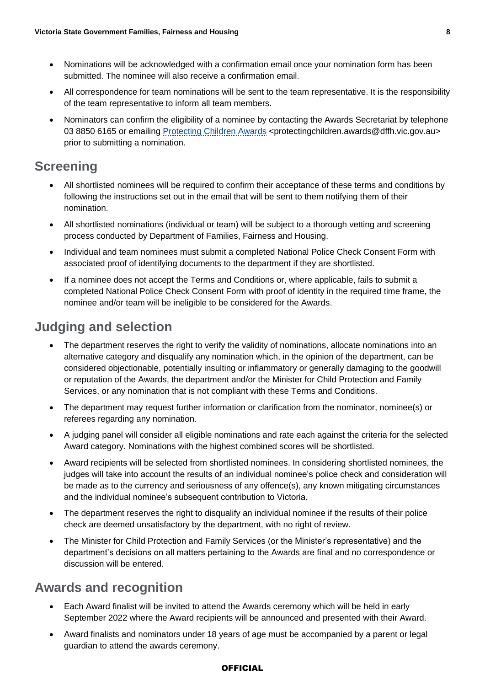- Nominations will be acknowledged with a confirmation email once your nomination form has been submitted. The nominee will also receive a confirmation email.
- All correspondence for team nominations will be sent to the team representative. It is the responsibility of the team representative to inform all team members.
- Nominators can confirm the eligibility of a nominee by contacting the Awards Secretariat by telephone 03 8850 6165 or emailing [Protecting Children Awards](mailto:protectingchildren.awards@dffh.vic.gov.au) <protectingchildren.awards@dffh.vic.gov.au> prior to submitting a nomination.

## <span id="page-7-0"></span>**Screening**

- All shortlisted nominees will be required to confirm their acceptance of these terms and conditions by following the instructions set out in the email that will be sent to them notifying them of their nomination.
- All shortlisted nominations (individual or team) will be subject to a thorough vetting and screening process conducted by Department of Families, Fairness and Housing.
- Individual and team nominees must submit a completed National Police Check Consent Form with associated proof of identifying documents to the department if they are shortlisted.
- If a nominee does not accept the Terms and Conditions or, where applicable, fails to submit a completed National Police Check Consent Form with proof of identity in the required time frame, the nominee and/or team will be ineligible to be considered for the Awards.

## <span id="page-7-1"></span>**Judging and selection**

- The department reserves the right to verify the validity of nominations, allocate nominations into an alternative category and disqualify any nomination which, in the opinion of the department, can be considered objectionable, potentially insulting or inflammatory or generally damaging to the goodwill or reputation of the Awards, the department and/or the Minister for Child Protection and Family Services, or any nomination that is not compliant with these Terms and Conditions.
- The department may request further information or clarification from the nominator, nominee(s) or referees regarding any nomination.
- A judging panel will consider all eligible nominations and rate each against the criteria for the selected Award category. Nominations with the highest combined scores will be shortlisted.
- Award recipients will be selected from shortlisted nominees. In considering shortlisted nominees, the judges will take into account the results of an individual nominee's police check and consideration will be made as to the currency and seriousness of any offence(s), any known mitigating circumstances and the individual nominee's subsequent contribution to Victoria.
- The department reserves the right to disqualify an individual nominee if the results of their police check are deemed unsatisfactory by the department, with no right of review.
- The Minister for Child Protection and Family Services (or the Minister's representative) and the department's decisions on all matters pertaining to the Awards are final and no correspondence or discussion will be entered.

## <span id="page-7-2"></span>**Awards and recognition**

- Each Award finalist will be invited to attend the Awards ceremony which will be held in early September 2022 where the Award recipients will be announced and presented with their Award.
- Award finalists and nominators under 18 years of age must be accompanied by a parent or legal guardian to attend the awards ceremony.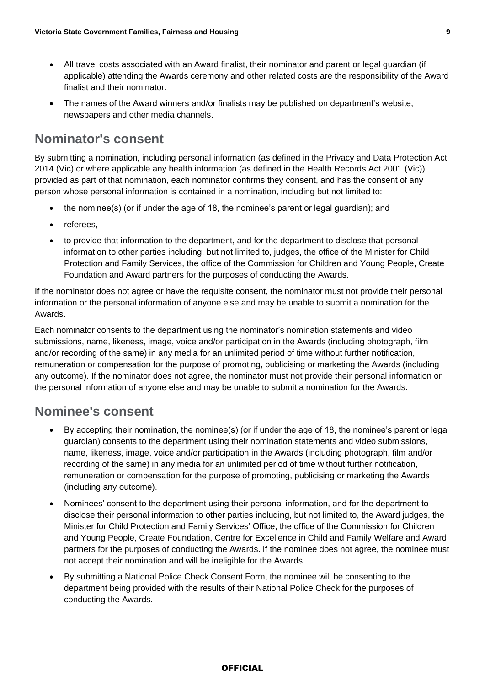- All travel costs associated with an Award finalist, their nominator and parent or legal guardian (if applicable) attending the Awards ceremony and other related costs are the responsibility of the Award finalist and their nominator.
- The names of the Award winners and/or finalists may be published on department's website, newspapers and other media channels.

## <span id="page-8-0"></span>**Nominator's consent**

By submitting a nomination, including personal information (as defined in the Privacy and Data Protection Act 2014 (Vic) or where applicable any health information (as defined in the Health Records Act 2001 (Vic)) provided as part of that nomination, each nominator confirms they consent, and has the consent of any person whose personal information is contained in a nomination, including but not limited to:

- the nominee(s) (or if under the age of 18, the nominee's parent or legal guardian); and
- referees,
- to provide that information to the department, and for the department to disclose that personal information to other parties including, but not limited to, judges, the office of the Minister for Child Protection and Family Services, the office of the Commission for Children and Young People, Create Foundation and Award partners for the purposes of conducting the Awards.

If the nominator does not agree or have the requisite consent, the nominator must not provide their personal information or the personal information of anyone else and may be unable to submit a nomination for the Awards.

Each nominator consents to the department using the nominator's nomination statements and video submissions, name, likeness, image, voice and/or participation in the Awards (including photograph, film and/or recording of the same) in any media for an unlimited period of time without further notification, remuneration or compensation for the purpose of promoting, publicising or marketing the Awards (including any outcome). If the nominator does not agree, the nominator must not provide their personal information or the personal information of anyone else and may be unable to submit a nomination for the Awards.

## <span id="page-8-1"></span>**Nominee's consent**

- By accepting their nomination, the nominee(s) (or if under the age of 18, the nominee's parent or legal guardian) consents to the department using their nomination statements and video submissions, name, likeness, image, voice and/or participation in the Awards (including photograph, film and/or recording of the same) in any media for an unlimited period of time without further notification, remuneration or compensation for the purpose of promoting, publicising or marketing the Awards (including any outcome).
- Nominees' consent to the department using their personal information, and for the department to disclose their personal information to other parties including, but not limited to, the Award judges, the Minister for Child Protection and Family Services' Office, the office of the Commission for Children and Young People, Create Foundation, Centre for Excellence in Child and Family Welfare and Award partners for the purposes of conducting the Awards. If the nominee does not agree, the nominee must not accept their nomination and will be ineligible for the Awards.
- By submitting a National Police Check Consent Form, the nominee will be consenting to the department being provided with the results of their National Police Check for the purposes of conducting the Awards.